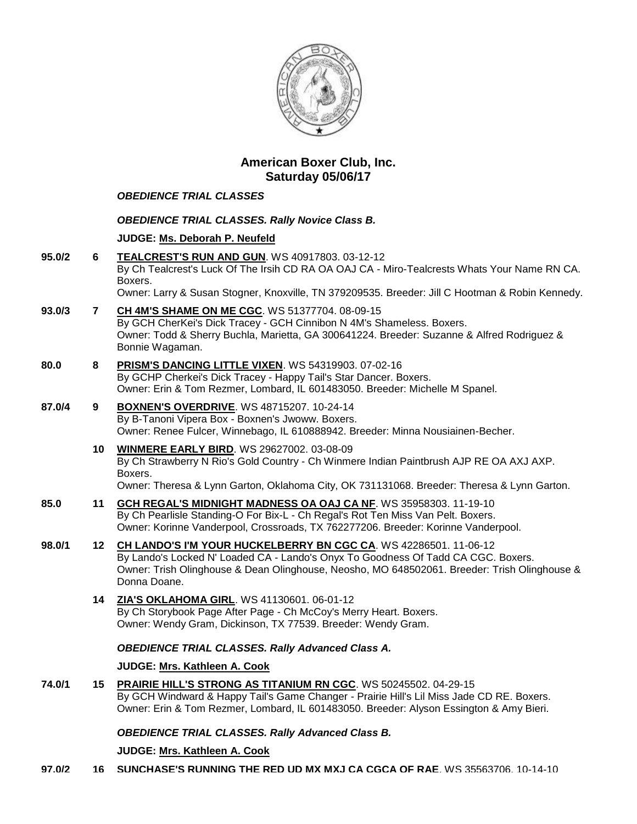

# **American Boxer Club, Inc. Saturday 05/06/17**

# *OBEDIENCE TRIAL CLASSES*

## *OBEDIENCE TRIAL CLASSES. Rally Novice Class B.*

# **JUDGE: [Ms. Deborah P. Neufeld](http://infodog.com/show/judge/jdgprofile.htm?jn=19916)**

- **95.0/2 6 [TEALCREST'S RUN AND GUN](http://infodog.com/my/drlookup2.htm?makc=WS%2040917803&mdog=Tealcrest%27s+Run+And+Gun&wins=all)**. WS 40917803. 03-12-12 By Ch Tealcrest's Luck Of The Irsih CD RA OA OAJ CA - Miro-Tealcrests Whats Your Name RN CA. Boxers. Owner: Larry & Susan Stogner, Knoxville, TN 379209535. Breeder: Jill C Hootman & Robin Kennedy. **93.0/3 7 [CH 4M'S SHAME ON ME CGC](http://infodog.com/my/drlookup2.htm?makc=WS%2051377704&mdog=Ch+4M%27s+Shame+On+Me+CGC&wins=all)**. WS 51377704. 08-09-15 By GCH CherKei's Dick Tracey - GCH Cinnibon N 4M's Shameless. Boxers. Owner: Todd & Sherry Buchla, Marietta, GA 300641224. Breeder: Suzanne & Alfred Rodriguez & Bonnie Wagaman. **80.0 8 [PRISM'S DANCING LITTLE VIXEN](http://infodog.com/my/drlookup2.htm?makc=WS%2054319903&mdog=Prism%27s+Dancing+Little+Vixen&wins=all)**. WS 54319903. 07-02-16 By GCHP Cherkei's Dick Tracey - Happy Tail's Star Dancer. Boxers. Owner: Erin & Tom Rezmer, Lombard, IL 601483050. Breeder: Michelle M Spanel. **87.0/4 9 [BOXNEN'S OVERDRIVE](http://infodog.com/my/drlookup2.htm?makc=WS%2048715207&mdog=Boxnen%27s+Overdrive&wins=all)**. WS 48715207. 10-24-14 By B-Tanoni Vipera Box - Boxnen's Jwoww. Boxers. Owner: Renee Fulcer, Winnebago, IL 610888942. Breeder: Minna Nousiainen-Becher. **10 [WINMERE EARLY BIRD](http://infodog.com/my/drlookup2.htm?makc=WS%2029627002&mdog=Winmere+Early+Bird&wins=all)**. WS 29627002. 03-08-09 By Ch Strawberry N Rio's Gold Country - Ch Winmere Indian Paintbrush AJP RE OA AXJ AXP. Boxers. Owner: Theresa & Lynn Garton, Oklahoma City, OK 731131068. Breeder: Theresa & Lynn Garton. **85.0 11 [GCH REGAL'S MIDNIGHT MADNESS OA OAJ CA NF](http://infodog.com/my/drlookup2.htm?makc=WS%2035958303&mdog=GCH+Regal%27s+Midnight+Madness+OA+OAJ+CA+NF&wins=all)**. WS 35958303. 11-19-10 By Ch Pearlisle Standing-O For Bix-L - Ch Regal's Rot Ten Miss Van Pelt. Boxers. Owner: Korinne Vanderpool, Crossroads, TX 762277206. Breeder: Korinne Vanderpool. **98.0/1 12 [CH LANDO'S I'M YOUR HUCKELBERRY BN CGC CA](http://infodog.com/my/drlookup2.htm?makc=WS%2042286501&mdog=Ch+Lando%27s+I%27m+Your+Huckelberry+BN+CGC+CA&wins=all)**. WS 42286501. 11-06-12 By Lando's Locked N' Loaded CA - Lando's Onyx To Goodness Of Tadd CA CGC. Boxers. Owner: Trish Olinghouse & Dean Olinghouse, Neosho, MO 648502061. Breeder: Trish Olinghouse & Donna Doane. **14 [ZIA'S OKLAHOMA GIRL](http://infodog.com/my/drlookup2.htm?makc=WS%2041130601&mdog=Zia%27s+Oklahoma+Girl&wins=all)**. WS 41130601. 06-01-12 By Ch Storybook Page After Page - Ch McCoy's Merry Heart. Boxers. Owner: Wendy Gram, Dickinson, TX 77539. Breeder: Wendy Gram. *OBEDIENCE TRIAL CLASSES. Rally Advanced Class A.* **JUDGE: [Mrs. Kathleen A. Cook](http://infodog.com/show/judge/jdgprofile.htm?jn=37193)**
- **74.0/1 15 [PRAIRIE HILL'S STRONG AS TITANIUM RN CGC](http://infodog.com/my/drlookup2.htm?makc=WS%2050245502&mdog=Prairie+Hill%27s+Strong+As+Titanium+RN+CGC&wins=all)**. WS 50245502. 04-29-15 By GCH Windward & Happy Tail's Game Changer - Prairie Hill's Lil Miss Jade CD RE. Boxers. Owner: Erin & Tom Rezmer, Lombard, IL 601483050. Breeder: Alyson Essington & Amy Bieri.

## *OBEDIENCE TRIAL CLASSES. Rally Advanced Class B.*

## **JUDGE: [Mrs. Kathleen A. Cook](http://infodog.com/show/judge/jdgprofile.htm?jn=37193)**

**97.0/2 16 [SUNCHASE'S RUNNING THE RED UD MX MXJ CA CGCA OF RAE](http://infodog.com/my/drlookup2.htm?makc=WS%2035563706&mdog=Sunchase%27s+Running+The+Red+UD+MX+MXJ+CA+CGCA+OF+RAE&wins=all)**. WS 35563706. 10-14-10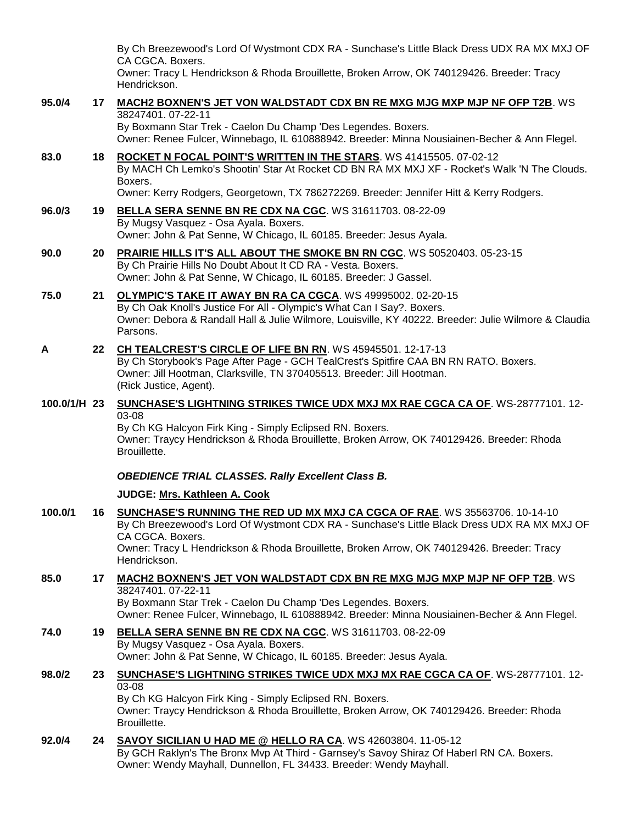|              |                 | By Ch Breezewood's Lord Of Wystmont CDX RA - Sunchase's Little Black Dress UDX RA MX MXJ OF<br>CA CGCA. Boxers.                                                                                                                                                                                             |
|--------------|-----------------|-------------------------------------------------------------------------------------------------------------------------------------------------------------------------------------------------------------------------------------------------------------------------------------------------------------|
|              |                 | Owner: Tracy L Hendrickson & Rhoda Brouillette, Broken Arrow, OK 740129426. Breeder: Tracy<br>Hendrickson.                                                                                                                                                                                                  |
| 95.0/4       | 17              | <b>MACH2 BOXNEN'S JET VON WALDSTADT CDX BN RE MXG MJG MXP MJP NF OFP T2B. WS</b><br>38247401.07-22-11                                                                                                                                                                                                       |
|              |                 | By Boxmann Star Trek - Caelon Du Champ 'Des Legendes. Boxers.<br>Owner: Renee Fulcer, Winnebago, IL 610888942. Breeder: Minna Nousiainen-Becher & Ann Flegel.                                                                                                                                               |
| 83.0         | 18              | ROCKET N FOCAL POINT'S WRITTEN IN THE STARS. WS 41415505. 07-02-12<br>By MACH Ch Lemko's Shootin' Star At Rocket CD BN RA MX MXJ XF - Rocket's Walk 'N The Clouds.<br>Boxers.                                                                                                                               |
|              |                 | Owner: Kerry Rodgers, Georgetown, TX 786272269. Breeder: Jennifer Hitt & Kerry Rodgers.                                                                                                                                                                                                                     |
| 96.0/3       | 19              | BELLA SERA SENNE BN RE CDX NA CGC. WS 31611703. 08-22-09<br>By Mugsy Vasquez - Osa Ayala. Boxers.<br>Owner: John & Pat Senne, W Chicago, IL 60185. Breeder: Jesus Ayala.                                                                                                                                    |
| 90.0         | 20              | PRAIRIE HILLS IT'S ALL ABOUT THE SMOKE BN RN CGC. WS 50520403. 05-23-15<br>By Ch Prairie Hills No Doubt About It CD RA - Vesta. Boxers.<br>Owner: John & Pat Senne, W Chicago, IL 60185. Breeder: J Gassel.                                                                                                 |
| 75.0         | 21              | OLYMPIC'S TAKE IT AWAY BN RA CA CGCA. WS 49995002. 02-20-15<br>By Ch Oak Knoll's Justice For All - Olympic's What Can I Say?. Boxers.<br>Owner: Debora & Randall Hall & Julie Wilmore, Louisville, KY 40222. Breeder: Julie Wilmore & Claudia<br>Parsons.                                                   |
| A            | 22              | CH TEALCREST'S CIRCLE OF LIFE BN RN. WS 45945501. 12-17-13<br>By Ch Storybook's Page After Page - GCH TealCrest's Spitfire CAA BN RN RATO. Boxers.<br>Owner: Jill Hootman, Clarksville, TN 370405513. Breeder: Jill Hootman.<br>(Rick Justice, Agent).                                                      |
| 100.0/1/H 23 |                 | SUNCHASE'S LIGHTNING STRIKES TWICE UDX MXJ MX RAE CGCA CA OF. WS-28777101. 12-<br>03-08<br>By Ch KG Halcyon Firk King - Simply Eclipsed RN. Boxers.<br>Owner: Traycy Hendrickson & Rhoda Brouillette, Broken Arrow, OK 740129426. Breeder: Rhoda<br>Brouillette.                                            |
|              |                 | <b>OBEDIENCE TRIAL CLASSES. Rally Excellent Class B.</b>                                                                                                                                                                                                                                                    |
|              |                 | JUDGE: Mrs. Kathleen A. Cook                                                                                                                                                                                                                                                                                |
| 100.0/1      | 16              | SUNCHASE'S RUNNING THE RED UD MX MXJ CA CGCA OF RAE. WS 35563706. 10-14-10<br>By Ch Breezewood's Lord Of Wystmont CDX RA - Sunchase's Little Black Dress UDX RA MX MXJ OF<br>CA CGCA. Boxers.<br>Owner: Tracy L Hendrickson & Rhoda Brouillette, Broken Arrow, OK 740129426. Breeder: Tracy<br>Hendrickson. |
| 85.0         | 17 <sub>1</sub> | <b>MACH2 BOXNEN'S JET VON WALDSTADT CDX BN RE MXG MJG MXP MJP NF OFP T2B. WS</b>                                                                                                                                                                                                                            |
|              |                 | 38247401.07-22-11<br>By Boxmann Star Trek - Caelon Du Champ 'Des Legendes. Boxers.<br>Owner: Renee Fulcer, Winnebago, IL 610888942. Breeder: Minna Nousiainen-Becher & Ann Flegel.                                                                                                                          |
| 74.0         | 19              | BELLA SERA SENNE BN RE CDX NA CGC. WS 31611703. 08-22-09<br>By Mugsy Vasquez - Osa Ayala. Boxers.<br>Owner: John & Pat Senne, W Chicago, IL 60185. Breeder: Jesus Ayala.                                                                                                                                    |
| 98.0/2       | 23              | SUNCHASE'S LIGHTNING STRIKES TWICE UDX MXJ MX RAE CGCA CA OF. WS-28777101. 12-<br>03-08<br>By Ch KG Halcyon Firk King - Simply Eclipsed RN. Boxers.<br>Owner: Traycy Hendrickson & Rhoda Brouillette, Broken Arrow, OK 740129426. Breeder: Rhoda<br>Brouillette.                                            |
| 92.0/4       | 24              | SAVOY SICILIAN U HAD ME @ HELLO RA CA. WS 42603804. 11-05-12<br>By GCH Raklyn's The Bronx Mvp At Third - Garnsey's Savoy Shiraz Of Haberl RN CA. Boxers.<br>Owner: Wendy Mayhall, Dunnellon, FL 34433. Breeder: Wendy Mayhall.                                                                              |